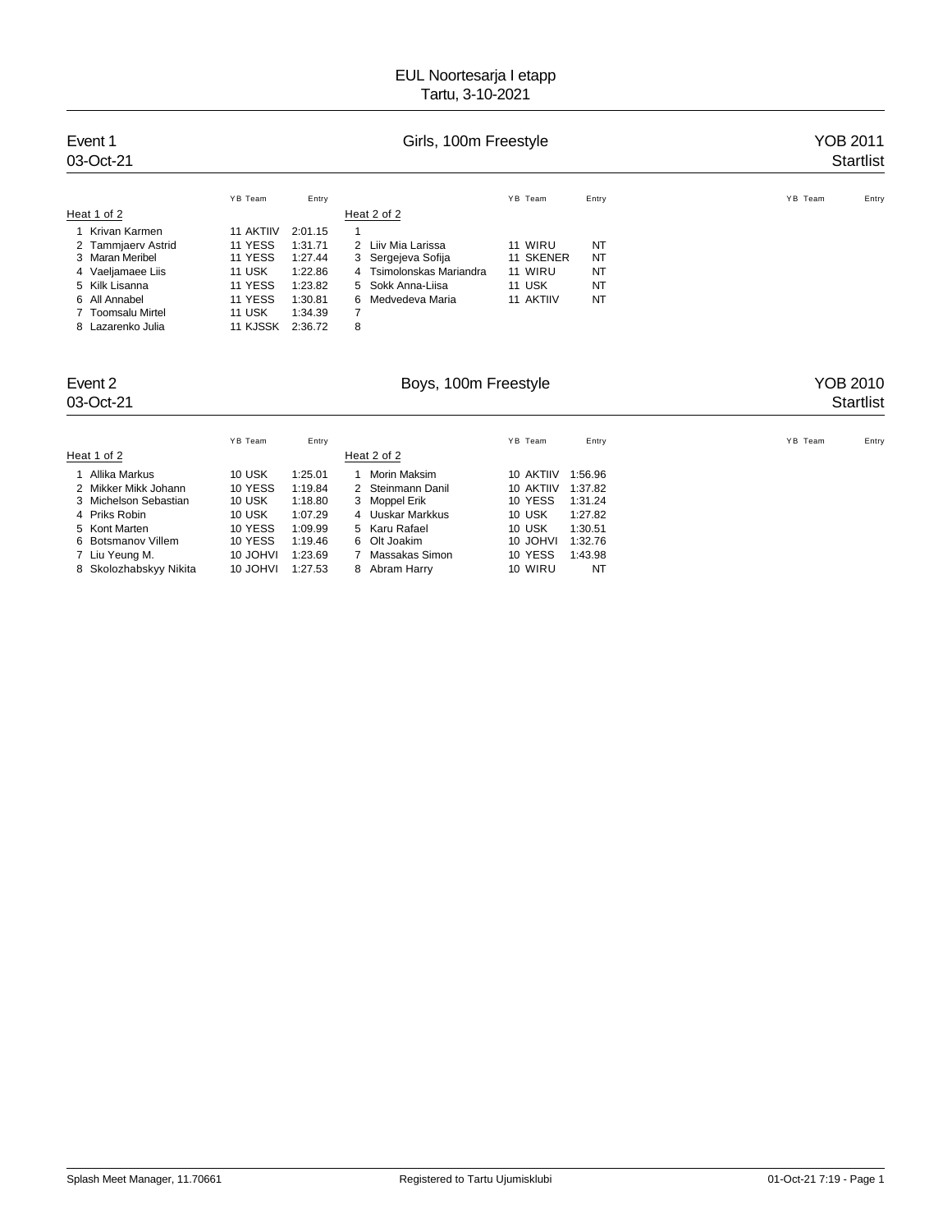| Event 1<br>03-Oct-21 | Girls, 100m Freestyle |         |   |                          |           |           |         | YOB 2011<br><b>Startlist</b> |  |  |
|----------------------|-----------------------|---------|---|--------------------------|-----------|-----------|---------|------------------------------|--|--|
|                      | YB Team               | Entry   |   |                          | YB Team   | Entry     | YB Team | Entry                        |  |  |
| Heat 1 of 2          |                       |         |   | Heat 2 of 2              |           |           |         |                              |  |  |
| Krivan Karmen        | 11 AKTIIV             | 2:01.15 | 1 |                          |           |           |         |                              |  |  |
| 2 Tammjaerv Astrid   | 11 YESS               | 1:31.71 |   | 2 Liiv Mia Larissa       | 11 WIRU   | NT        |         |                              |  |  |
| 3 Maran Meribel      | 11 YESS               | 1:27.44 |   | 3 Sergejeva Sofija       | 11 SKENER | <b>NT</b> |         |                              |  |  |
| 4 Vaeljamaee Liis    | <b>11 USK</b>         | 1:22.86 |   | 4 Tsimolonskas Mariandra | 11 WIRU   | <b>NT</b> |         |                              |  |  |
| 5 Kilk Lisanna       | 11 YESS               | 1:23.82 |   | 5 Sokk Anna-Liisa        | 11 USK    | <b>NT</b> |         |                              |  |  |
| 6 All Annabel        | 11 YESS               | 1:30.81 |   | 6 Medvedeva Maria        | 11 AKTIIV | NT        |         |                              |  |  |
| 7 Toomsalu Mirtel    | <b>11 USK</b>         | 1:34.39 | 7 |                          |           |           |         |                              |  |  |
| 8 Lazarenko Julia    | 11 KJSSK              | 2:36.72 | 8 |                          |           |           |         |                              |  |  |

# Event 2 **Event 2** Boys, 100m Freestyle **Exent 2** YOB 2010<br>03-Oct-21 Startlist

# 03-Oct-21 Startlist Startlist Startlist Startlist Startlist Startlist Startlist Startlist Startlist Startlist

|                        | YB Team  | Entry   |   |                   | YB Team   | Entry   |  | YB Team | Entry |
|------------------------|----------|---------|---|-------------------|-----------|---------|--|---------|-------|
| Heat 1 of 2            |          |         |   | Heat 2 of 2       |           |         |  |         |       |
| Allika Markus          | 10 USK   | 1:25.01 |   | Morin Maksim      | 10 AKTIIV | 1:56.96 |  |         |       |
| 2 Mikker Mikk Johann   | 10 YESS  | 1:19.84 |   | 2 Steinmann Danil | 10 AKTIIV | 1:37.82 |  |         |       |
| 3 Michelson Sebastian  | 10 USK   | 1:18.80 |   | 3 Moppel Erik     | 10 YESS   | 1:31.24 |  |         |       |
| 4 Priks Robin          | 10 USK   | 1:07.29 |   | 4 Uuskar Markkus  | 10 USK    | 1:27.82 |  |         |       |
| 5 Kont Marten          | 10 YESS  | 1:09.99 |   | 5 Karu Rafael     | 10 USK    | 1:30.51 |  |         |       |
| 6 Botsmanov Villem     | 10 YESS  | 1:19.46 |   | 6 Olt Joakim      | 10 JOHVI  | 1:32.76 |  |         |       |
| 7 Liu Yeung M.         | 10 JOHVI | 1:23.69 |   | Massakas Simon    | 10 YESS   | 1:43.98 |  |         |       |
| 8 Skolozhabskyy Nikita | 10 JOHVI | 1:27.53 | 8 | Abram Harry       | 10 WIRU   | NT      |  |         |       |
|                        |          |         |   |                   |           |         |  |         |       |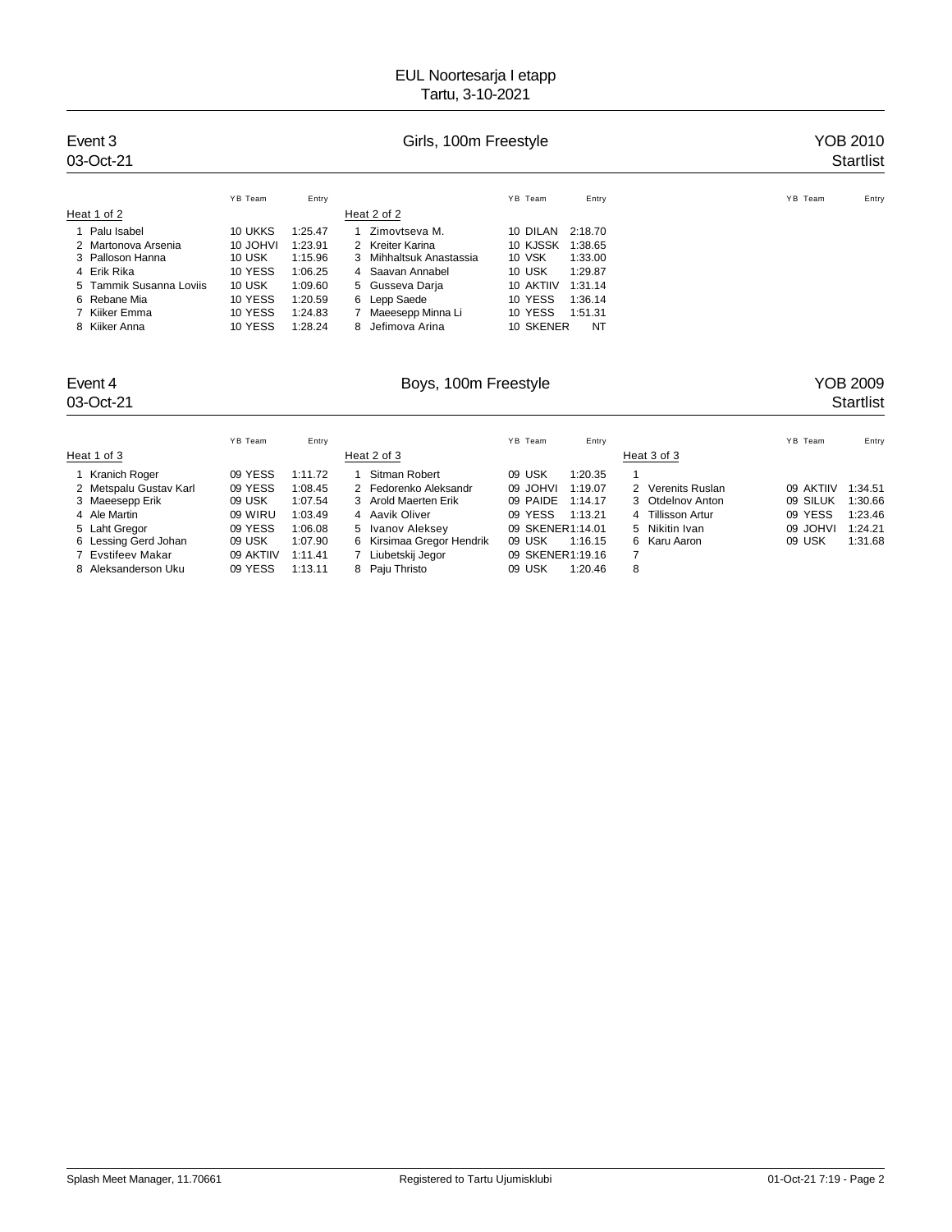| Event 3<br>03-Oct-21    |          |         | YOB 2010<br><b>Startlist</b> |                      |                  |
|-------------------------|----------|---------|------------------------------|----------------------|------------------|
|                         | YB Team  | Entry   |                              | YB Team<br>Entry     | YB Team<br>Entry |
| Heat 1 of 2             |          |         | Heat 2 of 2                  |                      |                  |
| Palu Isabel             | 10 UKKS  | 1:25.47 | Zimovtseva M.                | 10 DILAN<br>2:18.70  |                  |
| 2 Martonova Arsenia     | 10 JOHVI | 1:23.91 | 2 Kreiter Karina             | 10 KJSSK<br>1:38.65  |                  |
| 3 Palloson Hanna        | 10 USK   | 1:15.96 | 3 Mihhaltsuk Anastassia      | 10 VSK<br>1:33.00    |                  |
| 4 Erik Rika             | 10 YESS  | 1:06.25 | 4 Saavan Annabel             | 10 USK<br>1:29.87    |                  |
| 5 Tammik Susanna Loviis | 10 USK   | 1:09.60 | 5 Gusseva Darja              | 10 AKTIIV<br>1:31.14 |                  |
| 6 Rebane Mia            | 10 YESS  | 1:20.59 | 6 Lepp Saede                 | 10 YESS<br>1:36.14   |                  |
| 7 Kiiker Emma           | 10 YESS  | 1:24.83 | Maeesepp Minna Li            | 10 YESS<br>1:51.31   |                  |
| 8 Kiiker Anna           | 10 YESS  | 1:28.24 | 8 Jefimova Arina             | 10 SKENER<br>NT      |                  |

# Event 4 **Boys, 100m Freestyle** Boys, 100m Freestyle **New YOB 2009**<br>03-Oct-21 **Startlist**

# 03-Oct-21 Startlist Startlist Startlist Startlist Startlist Startlist Startlist Startlist Startlist Startlist

| YB Team<br>Heat 1 of 3                                                                                                                                                                                                                                    | Entry                                                                                     | Heat 2 of 3                                                                                                                                                           | YB Team                                                                                               | Entry                                                          | Heat 3 of 3                                                                                       | YB Team                                                | Entry                                               |
|-----------------------------------------------------------------------------------------------------------------------------------------------------------------------------------------------------------------------------------------------------------|-------------------------------------------------------------------------------------------|-----------------------------------------------------------------------------------------------------------------------------------------------------------------------|-------------------------------------------------------------------------------------------------------|----------------------------------------------------------------|---------------------------------------------------------------------------------------------------|--------------------------------------------------------|-----------------------------------------------------|
| 1 Kranich Roger<br>09 YESS<br>09 YESS<br>2 Metspalu Gustav Karl<br>3 Maeesepp Erik<br>09 USK<br>09 WIRU<br>4 Ale Martin<br>09 YESS<br>5 Laht Gregor<br>6 Lessing Gerd Johan<br>09 USK<br>09 AKTIIV<br>7 Evstifeev Makar<br>09 YESS<br>8 Aleksanderson Uku | 1:11.72<br>1:08.45<br>1:07.54<br>1:03.49<br>1:06.08<br>1:07.90<br>1:11.41<br>1:13.11<br>8 | Sitman Robert<br>2 Fedorenko Aleksandr<br>3 Arold Maerten Erik<br>4 Aavik Oliver<br>5 Ivanov Aleksey<br>6 Kirsimaa Gregor Hendrik<br>Liubetskij Jegor<br>Paju Thristo | 09 USK<br>09 JOHVI<br>09 PAIDE<br>09 YESS<br>09 SKENER1:14.01<br>09 USK<br>09 SKENER1:19.16<br>09 USK | 1:20.35<br>1:19.07<br>1:14.17<br>1:13.21<br>1:16.15<br>1:20.46 | 2 Verenits Ruslan<br>3 Otdelnov Anton<br>4 Tillisson Artur<br>5 Nikitin Ivan<br>6 Karu Aaron<br>8 | 09 AKTIIV<br>09 SILUK<br>09 YESS<br>09 JOHVI<br>09 USK | 1:34.51<br>1:30.66<br>1:23.46<br>1:24.21<br>1:31.68 |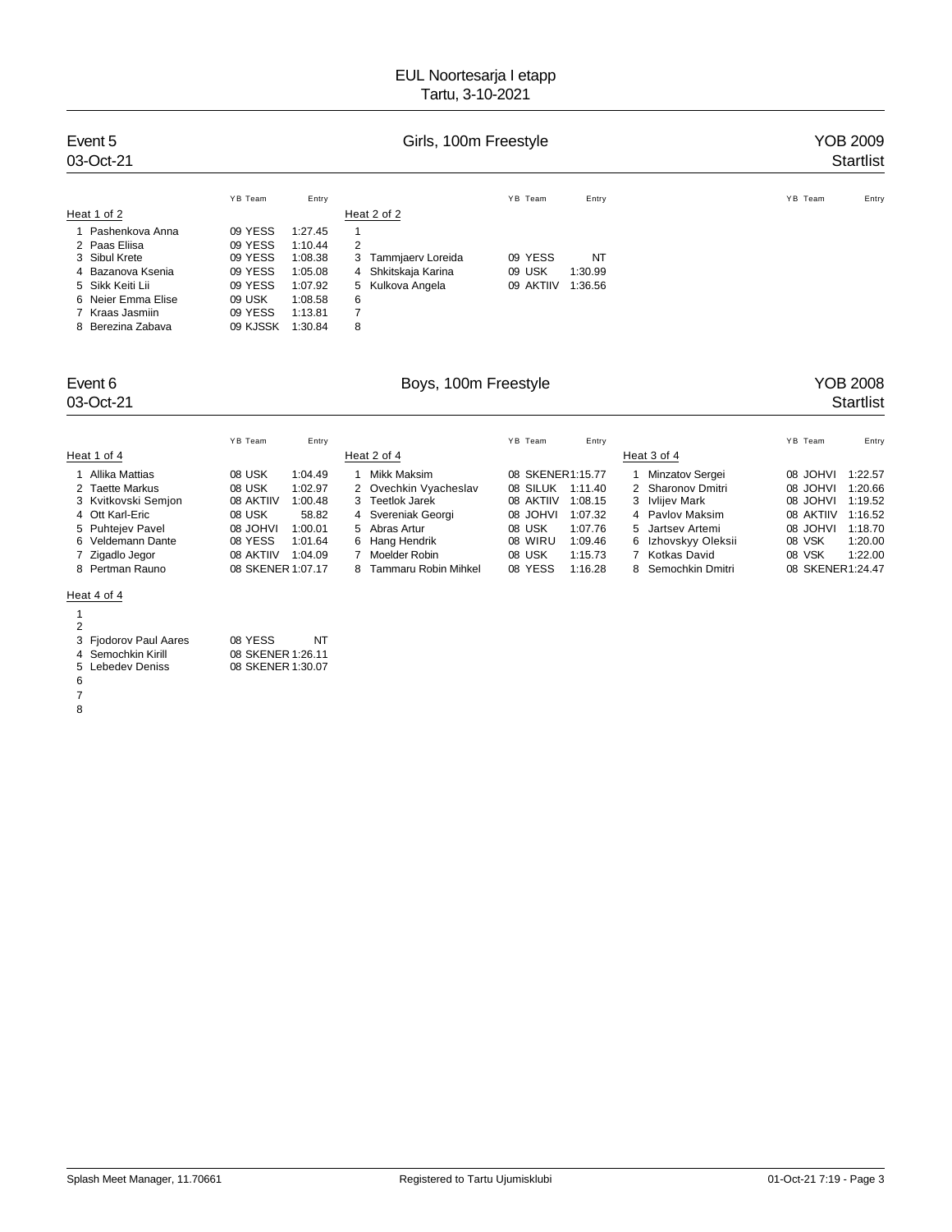| Event 5<br>03-Oct-21 |          |         |                        | YOB 2009<br><b>Startlist</b> |           |         |       |
|----------------------|----------|---------|------------------------|------------------------------|-----------|---------|-------|
|                      | YB Team  | Entry   |                        | YB Team                      | Entry     | YB Team | Entry |
| Heat 1 of 2          |          |         | Heat 2 of 2            |                              |           |         |       |
| 1 Pashenkova Anna    | 09 YESS  | 1:27.45 | 1                      |                              |           |         |       |
| 2 Paas Eliisa        | 09 YESS  | 1:10.44 | 2                      |                              |           |         |       |
| 3 Sibul Krete        | 09 YESS  | 1:08.38 | Tammjaerv Loreida<br>3 | 09 YESS                      | <b>NT</b> |         |       |
| 4 Bazanova Ksenia    | 09 YESS  | 1:05.08 | 4 Shkitskaja Karina    | 09 USK                       | 1:30.99   |         |       |
| 5 Sikk Keiti Lii     | 09 YESS  | 1:07.92 | 5 Kulkova Angela       | 09 AKTIIV                    | 1:36.56   |         |       |
| 6 Neier Emma Elise   | 09 USK   | 1:08.58 | 6                      |                              |           |         |       |
| 7 Kraas Jasmiin      | 09 YESS  | 1:13.81 | $\overline{7}$         |                              |           |         |       |
| 8 Berezina Zabava    | 09 KJSSK | 1:30.84 | 8                      |                              |           |         |       |

# Event 6 **Boys, 100m Freestyle Boys, 100m Freestyle Research 100m** Freestyle **Property Property Property Property COB 2008 Startlist** 03-Oct-21 Startlist Startlist Startlist Startlist Startlist Startlist Startlist Startlist Startlist Startlist

|                     | YB Team           | Entry   |   |                       | YB Team   | Entry            |                     | YB Team          | Entry   |
|---------------------|-------------------|---------|---|-----------------------|-----------|------------------|---------------------|------------------|---------|
| Heat 1 of 4         |                   |         |   | Heat 2 of 4           |           |                  | Heat 3 of 4         |                  |         |
| Allika Mattias      | 08 USK            | 1:04.49 |   | Mikk Maksim           |           | 08 SKENER1:15.77 | Minzatov Sergei     | IVHOL 80         | 1:22.57 |
| 2 Taette Markus     | 08 USK            | 1:02.97 |   | 2 Ovechkin Vyacheslav | 08 SILUK  | 1:11.40          | 2 Sharonov Dmitri   | IVHOL 80         | 1:20.66 |
| 3 Kvitkovski Semjon | 08 AKTIIV         | 1:00.48 |   | 3 Teetlok Jarek       | 08 AKTIIV | 1:08.15          | 3 Ivlijev Mark      | IVHOL 80         | 1:19.52 |
| 4 Ott Karl-Eric     | 08 USK            | 58.82   |   | 4 Svereniak Georgi    | 08 JOHVI  | 1:07.32          | 4 Pavlov Maksim     | 08 AKTIIV        | 1:16.52 |
| 5 Puhtejev Pavel    | <b>IVHOL 80</b>   | 1:00.01 |   | 5 Abras Artur         | 08 USK    | 1:07.76          | 5 Jartsey Artemi    | <b>IVHOL 80</b>  | 1:18.70 |
| 6 Veldemann Dante   | 08 YESS           | 1:01.64 |   | 6 Hang Hendrik        | 08 WIRU   | 1:09.46          | 6 Izhovskyy Oleksii | 08 VSK           | 1:20.00 |
| 7 Zigadlo Jegor     | 08 AKTIIV         | 1:04.09 |   | Moelder Robin         | 08 USK    | 1:15.73          | 7 Kotkas David      | 08 VSK           | 1:22.00 |
| 8 Pertman Rauno     | 08 SKENER 1:07.17 |         | 8 | Tammaru Robin Mihkel  | 08 YESS   | 1:16.28          | 8 Semochkin Dmitri  | 08 SKENER1:24.47 |         |

### Heat 4 of 4

| ï  |  |
|----|--|
| ۰. |  |

|   | 3 Fjodorov Paul Aares | 08 YESS<br>NT     |
|---|-----------------------|-------------------|
|   | 4 Semochkin Kirill    | 08 SKENER 1:26.11 |
|   | 5 Lebedev Deniss      | 08 SKENER 1:30.07 |
| 6 |                       |                   |
| 7 |                       |                   |
|   |                       |                   |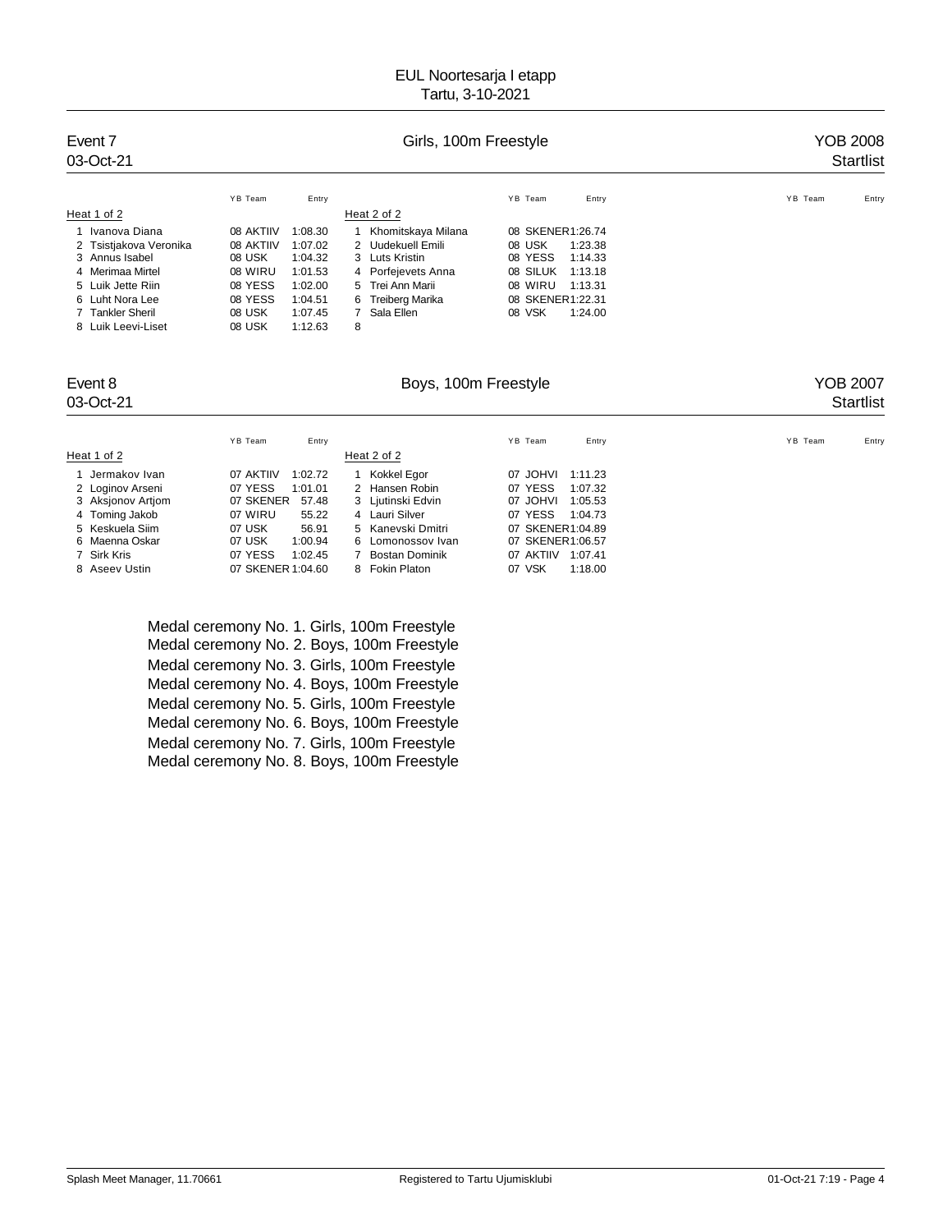| Event 7<br>03-Oct-21   |           | YOB 2008<br><b>Startlist</b> |                    |                     |                  |
|------------------------|-----------|------------------------------|--------------------|---------------------|------------------|
|                        | YB Team   | Entry                        |                    | YB Team<br>Entry    | YB Team<br>Entry |
| Heat 1 of 2            |           |                              | Heat 2 of 2        |                     |                  |
| Ivanova Diana          | 08 AKTIIV | 1:08.30                      | Khomitskaya Milana | 08 SKENER1:26.74    |                  |
| 2 Tsistjakova Veronika | 08 AKTIIV | 1:07.02                      | 2 Uudekuell Emili  | 08 USK<br>1:23.38   |                  |
| 3 Annus Isabel         | 08 USK    | 1:04.32                      | 3 Luts Kristin     | 08 YESS<br>1:14.33  |                  |
| 4 Merimaa Mirtel       | 08 WIRU   | 1:01.53                      | 4 Porfejevets Anna | 08 SILUK<br>1:13.18 |                  |
| 5 Luik Jette Riin      | 08 YESS   | 1:02.00                      | 5 Trei Ann Marii   | 08 WIRU<br>1:13.31  |                  |
| 6 Luht Nora Lee        | 08 YESS   | 1:04.51                      | 6 Treiberg Marika  | 08 SKENER1:22.31    |                  |
| 7 Tankler Sheril       | 08 USK    | 1:07.45                      | 7 Sala Ellen       | 08 VSK<br>1:24.00   |                  |
| 8 Luik Leevi-Liset     | 08 USK    | 1:12.63                      | 8                  |                     |                  |

### Event 8 George School House, 100m Freestyle Contract Treestyle School and Treestyle School and Treestyle School and Treestyle School and Treestyle School and Treestyle School and Treestyle School and Treestyle School and T

# 03-Oct-21 Startlist Startlist Startlist Startlist Startlist Startlist Startlist Startlist Startlist Startlist

|                   | YB Team<br>Entry     |                   | YB Team<br>Entry     | YB Team<br>Entry |
|-------------------|----------------------|-------------------|----------------------|------------------|
| Heat 1 of 2       |                      | Heat 2 of 2       |                      |                  |
| Jermakov Ivan     | 07 AKTIIV<br>1:02.72 | Kokkel Egor       | 07 JOHVI<br>1:11.23  |                  |
| 2 Loginov Arseni  | 07 YESS<br>1:01.01   | 2 Hansen Robin    | 07 YESS<br>1:07.32   |                  |
| 3 Aksjonov Artjom | 07 SKENER<br>57.48   | 3 Ljutinski Edvin | 07 JOHVI<br>1:05.53  |                  |
| 4 Toming Jakob    | 07 WIRU<br>55.22     | 4 Lauri Silver    | 07 YESS<br>1:04.73   |                  |
| 5 Keskuela Siim   | 07 USK<br>56.91      | 5 Kanevski Dmitri | 07 SKENER1:04.89     |                  |
| 6 Maenna Oskar    | 07 USK<br>1:00.94    | 6 Lomonossov Ivan | 07 SKENER1:06.57     |                  |
| 7 Sirk Kris       | 07 YESS<br>1:02.45   | Bostan Dominik    | 07 AKTIIV<br>1:07.41 |                  |
| 8 Aseev Ustin     | 07 SKENER 1:04.60    | 8 Fokin Platon    | 07 VSK<br>1:18.00    |                  |
|                   |                      |                   |                      |                  |

Medal ceremony No. 1. Girls, 100m Freestyle Medal ceremony No. 2. Boys, 100m Freestyle Medal ceremony No. 3. Girls, 100m Freestyle Medal ceremony No. 4. Boys, 100m Freestyle Medal ceremony No. 5. Girls, 100m Freestyle Medal ceremony No. 6. Boys, 100m Freestyle Medal ceremony No. 7. Girls, 100m Freestyle Medal ceremony No. 8. Boys, 100m Freestyle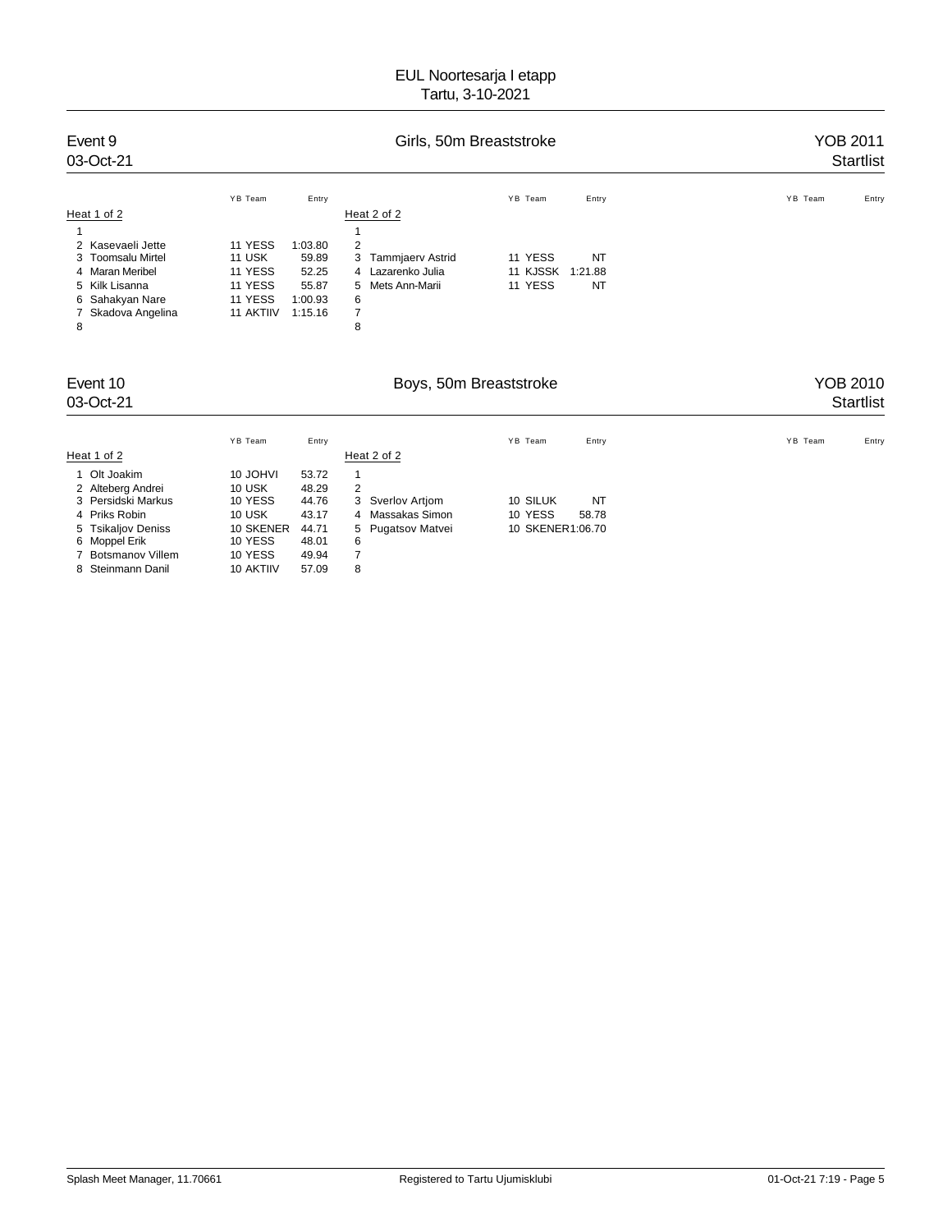| Event 9<br>03-Oct-21                                                                                                                      | Girls, 50m Breaststroke                                                |                                                          |                                                                                                         |                                |                            | <b>YOB 2011</b><br><b>Startlist</b> |
|-------------------------------------------------------------------------------------------------------------------------------------------|------------------------------------------------------------------------|----------------------------------------------------------|---------------------------------------------------------------------------------------------------------|--------------------------------|----------------------------|-------------------------------------|
| Heat 1 of 2                                                                                                                               | YB Team                                                                | Entry                                                    | Heat 2 of 2                                                                                             | YB Team                        | Entry                      | YB Team<br>Entry                    |
| 2 Kasevaeli Jette<br><b>Toomsalu Mirtel</b><br><b>Maran Meribel</b><br>4<br>5 Kilk Lisanna<br>Sahakyan Nare<br>6<br>Skadova Angelina<br>8 | 11 YESS<br><b>11 USK</b><br>11 YESS<br>11 YESS<br>11 YESS<br>11 AKTIIV | 1:03.80<br>59.89<br>52.25<br>55.87<br>1:00.93<br>1:15.16 | 2<br>3<br>Tammjaerv Astrid<br>Lazarenko Julia<br>4<br>Mets Ann-Marii<br>5<br>6<br>$\boldsymbol{7}$<br>8 | 11 YESS<br>11 KJSSK<br>11 YESS | <b>NT</b><br>1:21.88<br>NT |                                     |
| Event 10<br>03-Oct-21                                                                                                                     |                                                                        |                                                          | Boys, 50m Breaststroke                                                                                  |                                |                            | <b>YOB 2010</b><br><b>Startlist</b> |
| Heat 1 of 2                                                                                                                               | YB Team                                                                | Entry                                                    | Heat 2 of 2                                                                                             | YB Team                        | Entry                      | YB Team<br>Entry                    |
| 1 Olt Joakim                                                                                                                              | 10 JOHVI<br>.                                                          | 53.72<br>$\sim$ $\sim$ $\sim$ $\sim$                     | 1                                                                                                       |                                |                            |                                     |

| 1 OII JOAKIM       | TU JUHVI  | 53.IZ |   |                   |                  |       |
|--------------------|-----------|-------|---|-------------------|------------------|-------|
| 2 Alteberg Andrei  | 10 USK    | 48.29 |   |                   |                  |       |
| 3 Persidski Markus | 10 YESS   | 44.76 |   | 3 Sverlov Artiom  | 10 SILUK         | NT    |
| 4 Priks Robin      | 10 USK    | 43.17 |   | 4 Massakas Simon  | 10 YESS          | 58.78 |
| 5 Tsikaljov Deniss | 10 SKENER | 44.71 |   | 5 Pugatsov Matvei | 10 SKENER1:06.70 |       |
| 6 Moppel Erik      | 10 YESS   | 48.01 | 6 |                   |                  |       |
| 7 Botsmanov Villem | 10 YESS   | 49.94 |   |                   |                  |       |
| 8 Steinmann Danil  | 10 AKTIIV | 57.09 | 8 |                   |                  |       |
|                    |           |       |   |                   |                  |       |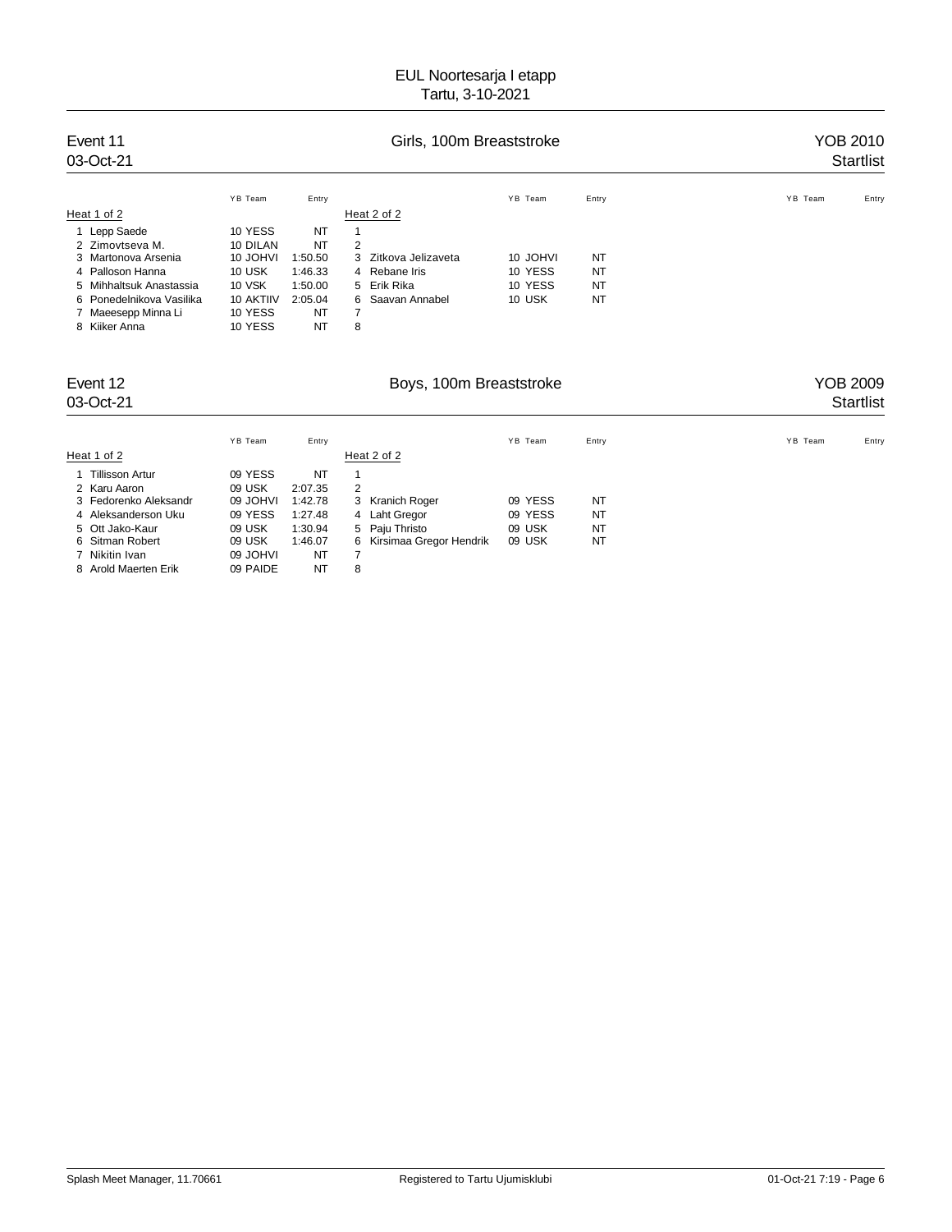| Event 11<br>03-Oct-21                                            |                                 |                            |             | Girls, 100m Breaststroke |          |           | YOB 2010<br><b>Startlist</b> |
|------------------------------------------------------------------|---------------------------------|----------------------------|-------------|--------------------------|----------|-----------|------------------------------|
|                                                                  | YB Team                         | Entry                      |             |                          | YB Team  | Entry     | YB Team<br>Entry             |
| Heat 1 of 2                                                      |                                 |                            | Heat 2 of 2 |                          |          |           |                              |
| 1 Lepp Saede                                                     | 10 YESS                         | NT                         | 1           |                          |          |           |                              |
| 2 Zimovtseva M.                                                  | 10 DILAN                        | NT                         | 2           |                          |          |           |                              |
| 3 Martonova Arsenia                                              | 10 JOHVI                        | 1:50.50                    |             | 3 Zitkova Jelizaveta     | 10 JOHVI | NT        |                              |
| 4 Palloson Hanna                                                 | 10 USK                          | 1:46.33                    |             | 4 Rebane Iris            | 10 YESS  | <b>NT</b> |                              |
| 5 Mihhaltsuk Anastassia                                          | 10 VSK                          | 1:50.00                    |             | 5 Erik Rika              | 10 YESS  | <b>NT</b> |                              |
| 6 Ponedelnikova Vasilika<br>7 Maeesepp Minna Li<br>8 Kiiker Anna | 10 AKTIIV<br>10 YESS<br>10 YESS | 2:05.04<br>NT<br><b>NT</b> | 7<br>8      | 6 Saavan Annabel         | 10 USK   | <b>NT</b> |                              |

| Event 12<br>03-Oct-21 |          |           |   | Boys, 100m Breaststroke   |         |           | YOB 2009<br><b>Startlist</b> |
|-----------------------|----------|-----------|---|---------------------------|---------|-----------|------------------------------|
|                       | YB Team  | Entry     |   |                           | YB Team | Entry     | YB Team<br>Entry             |
| Heat 1 of 2           |          |           |   | Heat 2 of 2               |         |           |                              |
| 1 Tillisson Artur     | 09 YESS  | NT        |   |                           |         |           |                              |
| 2 Karu Aaron          | 09 USK   | 2:07.35   | 2 |                           |         |           |                              |
| 3 Fedorenko Aleksandr | 09 JOHVI | 1:42.78   |   | 3 Kranich Roger           | 09 YESS | NT        |                              |
| 4 Aleksanderson Uku   | 09 YESS  | 1:27.48   |   | 4 Laht Gregor             | 09 YESS | <b>NT</b> |                              |
| 5 Ott Jako-Kaur       | 09 USK   | 1:30.94   |   | 5 Paiu Thristo            | 09 USK  | <b>NT</b> |                              |
| 6 Sitman Robert       | 09 USK   | 1:46.07   |   | 6 Kirsimaa Gregor Hendrik | 09 USK  | <b>NT</b> |                              |
| 7 Nikitin Ivan        | 09 JOHVI | NT        |   |                           |         |           |                              |
| 8 Arold Maerten Erik  | 09 PAIDE | <b>NT</b> | 8 |                           |         |           |                              |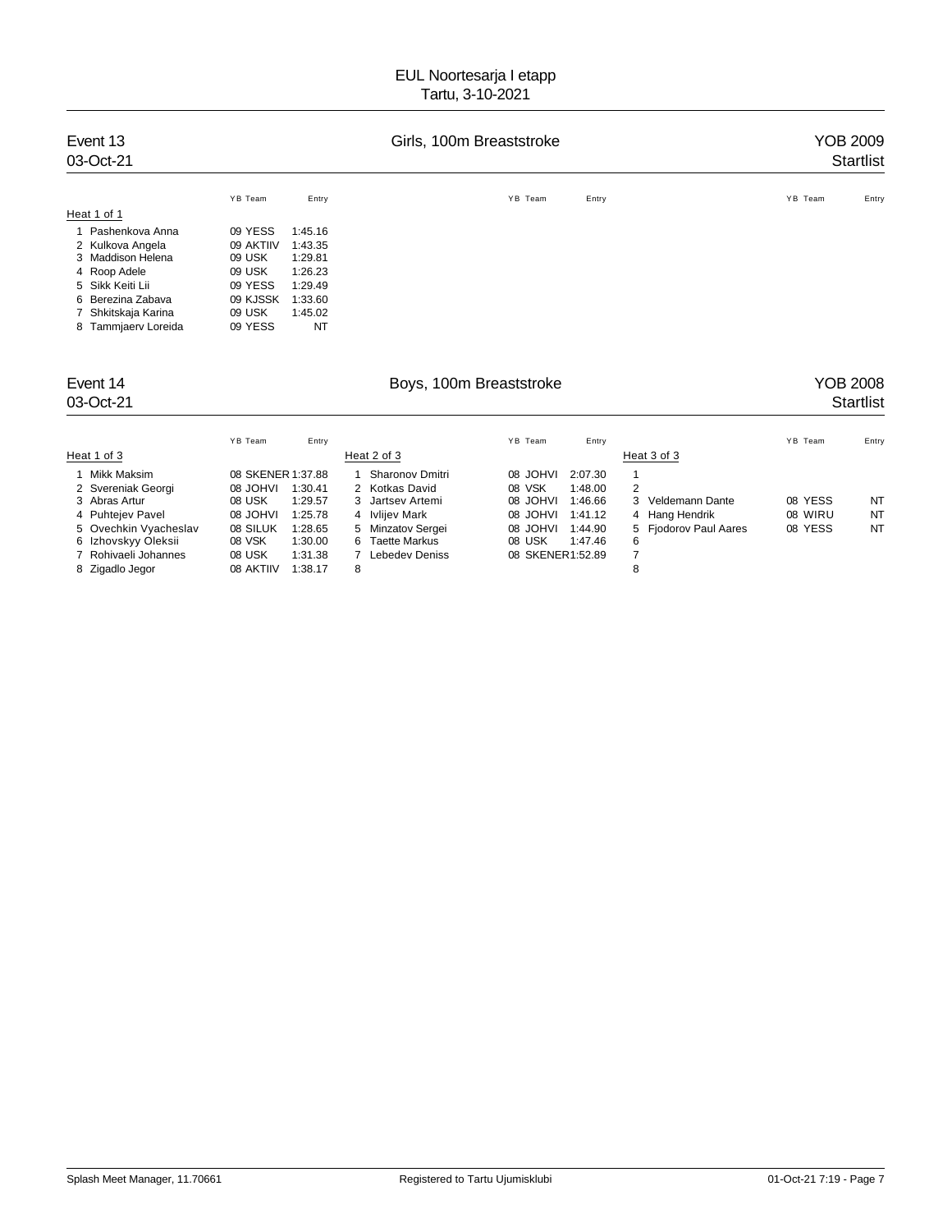| Event 13<br>03-Oct-21 |           |         | Girls, 100m Breaststroke | <b>YOB 2009</b><br><b>Startlist</b> |
|-----------------------|-----------|---------|--------------------------|-------------------------------------|
|                       | YB Team   | Entry   | YB Team<br>Entry         | YB Team<br>Entry                    |
| Heat 1 of 1           |           |         |                          |                                     |
| 1 Pashenkova Anna     | 09 YESS   | 1:45.16 |                          |                                     |
| 2 Kulkova Angela      | 09 AKTIIV | 1:43.35 |                          |                                     |
| 3 Maddison Helena     | 09 USK    | 1:29.81 |                          |                                     |
| 4 Roop Adele          | 09 USK    | 1:26.23 |                          |                                     |
| 5 Sikk Keiti Lii      | 09 YESS   | 1:29.49 |                          |                                     |
| Berezina Zabava<br>6. | 09 KJSSK  | 1:33.60 |                          |                                     |
| Shkitskaja Karina     | 09 USK    | 1:45.02 |                          |                                     |
| 8 Tammjaerv Loreida   | 09 YESS   | NT      |                          |                                     |
| Event 14              |           |         | Boys, 100m Breaststroke  | <b>YOB 2008</b>                     |
| 03-Oct-21             |           |         |                          | <b>Startlist</b>                    |
|                       | YB Team   | Entry   | YB Team<br>Entry         | YB Team<br>Entry                    |

| Heat 1 of 3           |                      | Heat 2 of 3                | Heat 3 of 3                                  |         |    |
|-----------------------|----------------------|----------------------------|----------------------------------------------|---------|----|
| 1 Mikk Maksim         | 08 SKENER 1:37.88    | Sharonov Dmitri            | 2:07.30<br>IVHOL 80                          |         |    |
| 2 Svereniak Georgi    | 1:30.41<br>08 JOHVI  | 2 Kotkas David             | 08 VSK<br>1:48.00<br>2                       |         |    |
| 3 Abras Artur         | 08 USK<br>1:29.57    | 3 Jartsey Artemi           | 08 JOHVI<br>1:46.66<br>3 Veldemann Dante     | 08 YESS | NT |
| 4 Puhtejev Pavel      | 1:25.78<br>08 JOHVI  | Ivlijev Mark<br>4          | 4 Hang Hendrik<br>1:41.12<br>08 JOHVI        | 08 WIRU | NT |
| 5 Ovechkin Vyacheslav | 08 SILUK<br>1:28.65  | 5 Minzatov Sergei          | 5 Fjodorov Paul Aares<br>08 JOHVI<br>1:44.90 | 08 YESS | NT |
| 6 Izhovskyy Oleksii   | 08 VSK<br>1:30.00    | <b>Taette Markus</b><br>6. | 08 USK<br>1:47.46<br>6                       |         |    |
| 7 Rohivaeli Johannes  | 1:31.38<br>08 USK    | Lebedev Deniss             | 08 SKENER1:52.89                             |         |    |
| 8 Zigadlo Jegor       | 08 AKTIIV<br>1:38.17 | 8                          |                                              |         |    |
|                       |                      |                            |                                              |         |    |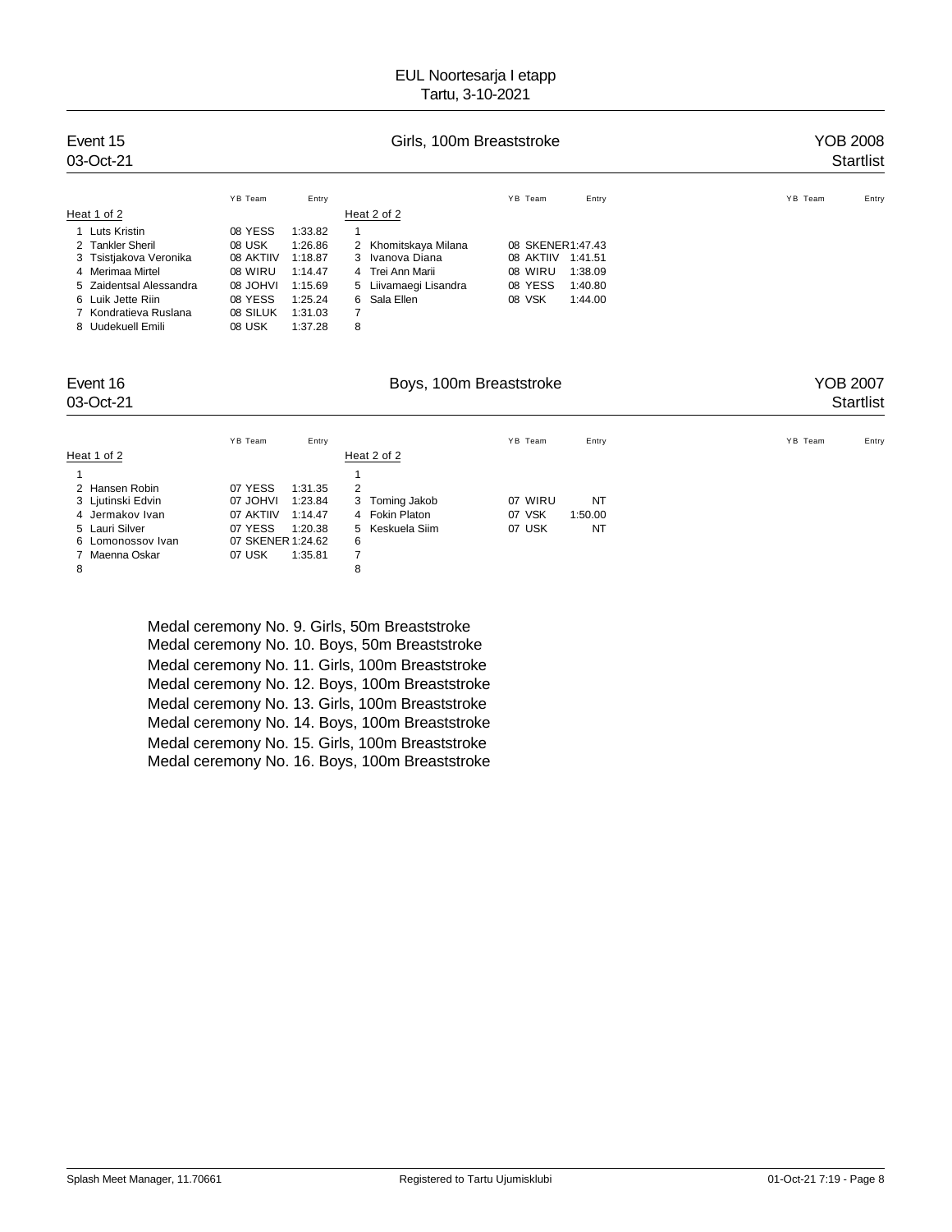| Event 15<br>03-Oct-21   |           |         | Girls, 100m Breaststroke |                      | YOB 2008<br><b>Startlist</b> |
|-------------------------|-----------|---------|--------------------------|----------------------|------------------------------|
|                         | YB Team   | Entry   |                          | YB Team<br>Entry     | YB Team<br>Entry             |
| Heat 1 of 2             |           |         | Heat 2 of 2              |                      |                              |
| Luts Kristin            | 08 YESS   | 1:33.82 | 1                        |                      |                              |
| 2 Tankler Sheril        | 08 USK    | 1:26.86 | Khomitskaya Milana<br>2  | 08 SKENER1:47.43     |                              |
| 3 Tsistjakova Veronika  | 08 AKTIIV | 1:18.87 | 3 Ivanova Diana          | 08 AKTIIV<br>1:41.51 |                              |
| 4 Merimaa Mirtel        | 08 WIRU   | 1:14.47 | 4 Trei Ann Marii         | 08 WIRU<br>1:38.09   |                              |
| 5 Zaidentsal Alessandra | 08 JOHVI  | 1:15.69 | 5 Liivamaegi Lisandra    | 08 YESS<br>1:40.80   |                              |
| 6 Luik Jette Riin       | 08 YESS   | 1:25.24 | 6 Sala Ellen             | 08 VSK<br>1:44.00    |                              |
| 7 Kondratieva Ruslana   | 08 SILUK  | 1:31.03 | 7                        |                      |                              |
| 8 Uudekuell Emili       | 08 USK    | 1:37.28 | 8                        |                      |                              |

### Event 16 Georgia Company, 100m Breaststroke Company of the Superior of the Superior Section 16 Georgia Company NOB 2007

# 03-Oct-21 Startlist Startlist Startlist Startlist Startlist Startlist Startlist Startlist Startlist Startlist

|                   | Entry<br>YB Team     |                 | YB Team<br>Entry  | YB Team<br>Entry |
|-------------------|----------------------|-----------------|-------------------|------------------|
| Heat 1 of 2       |                      | Heat 2 of 2     |                   |                  |
|                   |                      |                 |                   |                  |
| 2 Hansen Robin    | 07 YESS<br>1:31.35   | $\overline{2}$  |                   |                  |
| 3 Ljutinski Edvin | 07 JOHVI<br>1:23.84  | 3 Toming Jakob  | 07 WIRU<br>NT     |                  |
| 4 Jermakov Ivan   | 07 AKTIIV<br>1:14.47 | 4 Fokin Platon  | 07 VSK<br>1:50.00 |                  |
| 5 Lauri Silver    | 07 YESS<br>1:20.38   | 5 Keskuela Siim | 07 USK<br>NT      |                  |
| 6 Lomonossov Ivan | 07 SKENER 1:24.62    | 6               |                   |                  |
| 7 Maenna Oskar    | 07 USK<br>1:35.81    |                 |                   |                  |
| 8                 |                      | 8               |                   |                  |

Medal ceremony No. 9. Girls, 50m Breaststroke Medal ceremony No. 10. Boys, 50m Breaststroke Medal ceremony No. 11. Girls, 100m Breaststroke Medal ceremony No. 12. Boys, 100m Breaststroke Medal ceremony No. 13. Girls, 100m Breaststroke Medal ceremony No. 14. Boys, 100m Breaststroke Medal ceremony No. 15. Girls, 100m Breaststroke Medal ceremony No. 16. Boys, 100m Breaststroke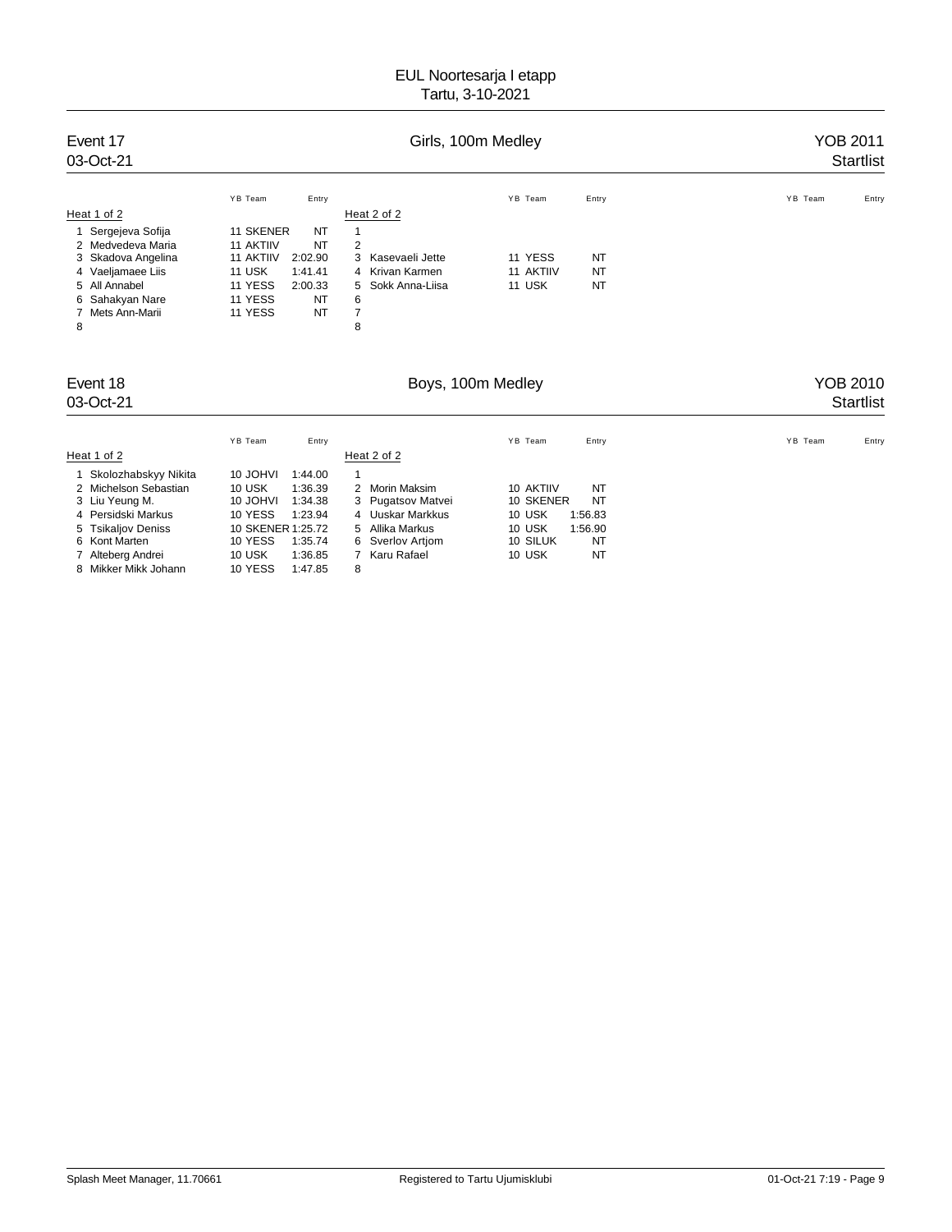| Event 17<br>03-Oct-21                  |                    |               |                           | Girls, 100m Medley |            | <b>YOB 2011</b><br><b>Startlist</b> |
|----------------------------------------|--------------------|---------------|---------------------------|--------------------|------------|-------------------------------------|
|                                        | YB Team            | Entry         |                           | YB Team            | Entry      | YB Team<br>Entry                    |
| Heat 1 of 2                            |                    |               | Heat 2 of 2               |                    |            |                                     |
| Sergejeva Sofija                       | 11 SKENER          | NT            | 1                         |                    |            |                                     |
| Medvedeva Maria                        | 11 AKTIIV          | <b>NT</b>     | $\overline{\mathbf{c}}$   |                    |            |                                     |
| Skadova Angelina<br>3                  | 11 AKTIIV          | 2:02.90       | 3<br>Kasevaeli Jette      | 11 YESS            | <b>NT</b>  |                                     |
| 4 Vaeljamaee Liis                      | 11 USK             | 1:41.41       | 4 Krivan Karmen           | 11 AKTIIV          | NT         |                                     |
| All Annabel<br>5<br>Sahakyan Nare<br>6 | 11 YESS<br>11 YESS | 2:00.33<br>NT | Sokk Anna-Liisa<br>5<br>6 | 11 USK             | NT         |                                     |
| Mets Ann-Marii<br>7                    | 11 YESS            | NT            | $\overline{7}$            |                    |            |                                     |
| 8                                      |                    |               | 8                         |                    |            |                                     |
| Event 18                               |                    |               |                           | Boys, 100m Medley  |            | YOB 2010                            |
| 03-Oct-21                              |                    |               |                           |                    |            | <b>Startlist</b>                    |
|                                        | YB Team            | Entry         |                           | YB Team            | Entry      | YB Team<br>Entry                    |
| Heat 1 of 2                            |                    |               | Heat 2 of 2               |                    |            |                                     |
| 1 Skolozhabskyy Nikita                 | 10 JOHVI           | 1:44.00       | 1                         |                    |            |                                     |
| 2 Michaleon Sabactian                  | $101$ $R$          | 1.36.30       | 2 Morin Makeim            | 10 AKTIIV          | <b>NIT</b> |                                     |

| 2 Michelson Sebastian | 10 USK            | 1:36.39 | 2 Morin Maksim    | 10 AKTIIV |         | NT |
|-----------------------|-------------------|---------|-------------------|-----------|---------|----|
| 3 Liu Yeung M.        | 10 JOHVI          | 1:34.38 | 3 Pugatsov Matvei | 10 SKENER |         | NT |
| 4 Persidski Markus    | 10 YESS           | 1:23.94 | 4 Uuskar Markkus  | 10 USK    | 1:56.83 |    |
| 5 Tsikaljov Deniss    | 10 SKENER 1:25.72 |         | 5 Allika Markus   | 10 USK    | 1:56.90 |    |
| 6 Kont Marten         | 10 YESS           | 1:35.74 | 6 Sverlov Artiom  | 10 SILUK  |         | NT |
| 7 Alteberg Andrei     | 10 USK            | 1:36.85 | 7 Karu Rafael     | 10 USK    |         | NT |
| 8 Mikker Mikk Johann  | 10 YESS           | 1:47.85 |                   |           |         |    |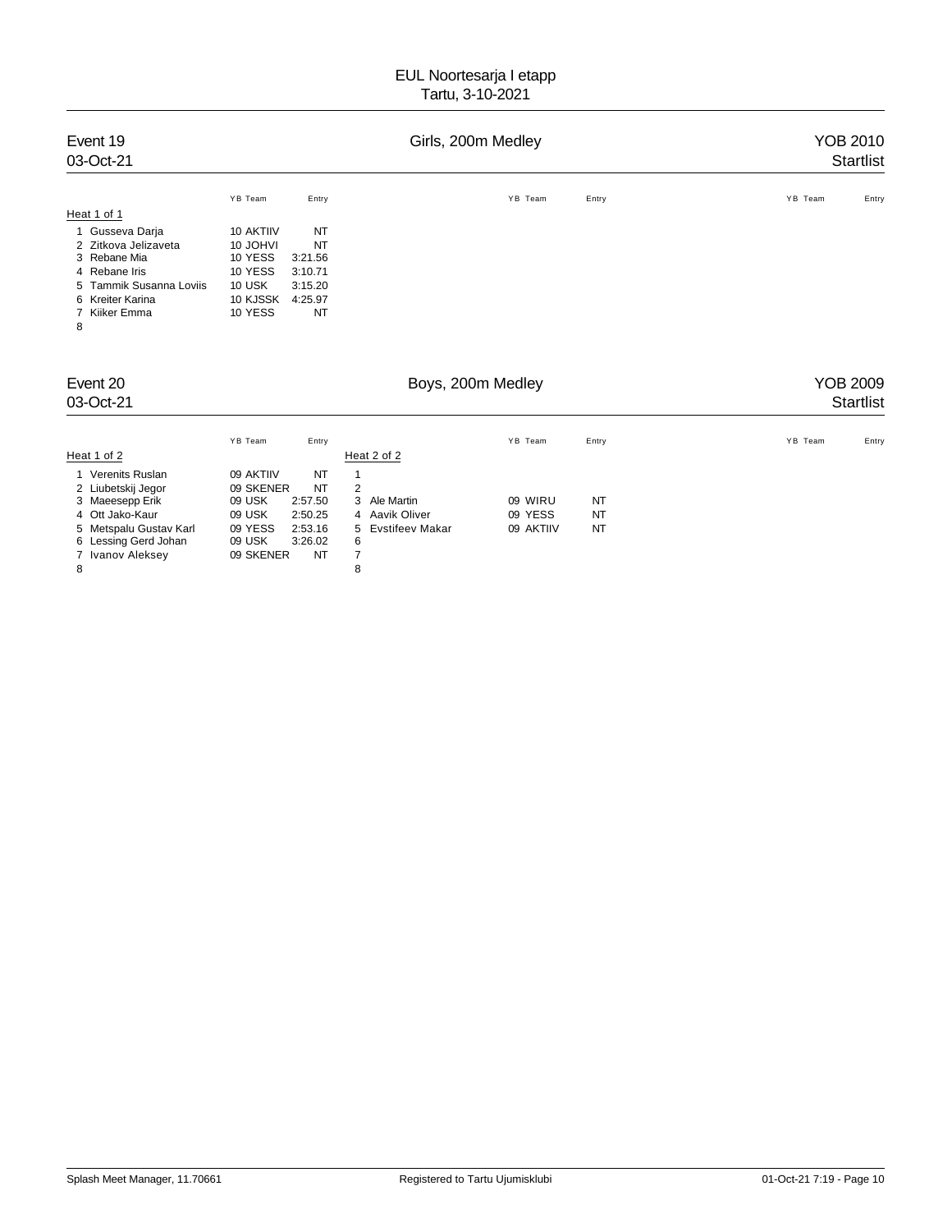|                                                        |                                         |                                                               |                               |                                                                                                 | YOB 2010<br>Startlist        |
|--------------------------------------------------------|-----------------------------------------|---------------------------------------------------------------|-------------------------------|-------------------------------------------------------------------------------------------------|------------------------------|
| YB Team<br>10 AKTIIV<br>10 JOHVI<br>10 YESS<br>10 YESS | Entry<br>NT<br>NT<br>3:21.56<br>3:10.71 |                                                               | YB Team                       | Entry                                                                                           | YB Team<br>Entry             |
| 10 USK<br>10 KJSSK<br>10 YESS                          | 3:15.20<br>4:25.97<br>NT                |                                                               |                               |                                                                                                 |                              |
|                                                        |                                         |                                                               |                               |                                                                                                 | YOB 2009<br><b>Startlist</b> |
| YB Team<br>09 AKTIIV<br>09 USK<br>09 USK               | Entry<br>NT<br>NT<br>2:57.50<br>2:50.25 | Heat 2 of 2<br>1<br>2<br>3<br>Ale Martin<br>Aavik Oliver<br>4 | YB Team<br>09 WIRU<br>09 YESS | Entry<br>NT<br>NT                                                                               | YB Team<br>Entry             |
|                                                        |                                         | 09 SKENER                                                     |                               | Girls, 200m Medley<br>Boys, 200m Medley<br>09 YESS<br>2:53.16<br>5 Evstifeev Makar<br>09 AKTIIV | <b>NT</b>                    |

6 Lessing Gerd Johan 09 USK 3:26.02 6 7 Ivanov Aleksey 09 SKENER NT 7 8 8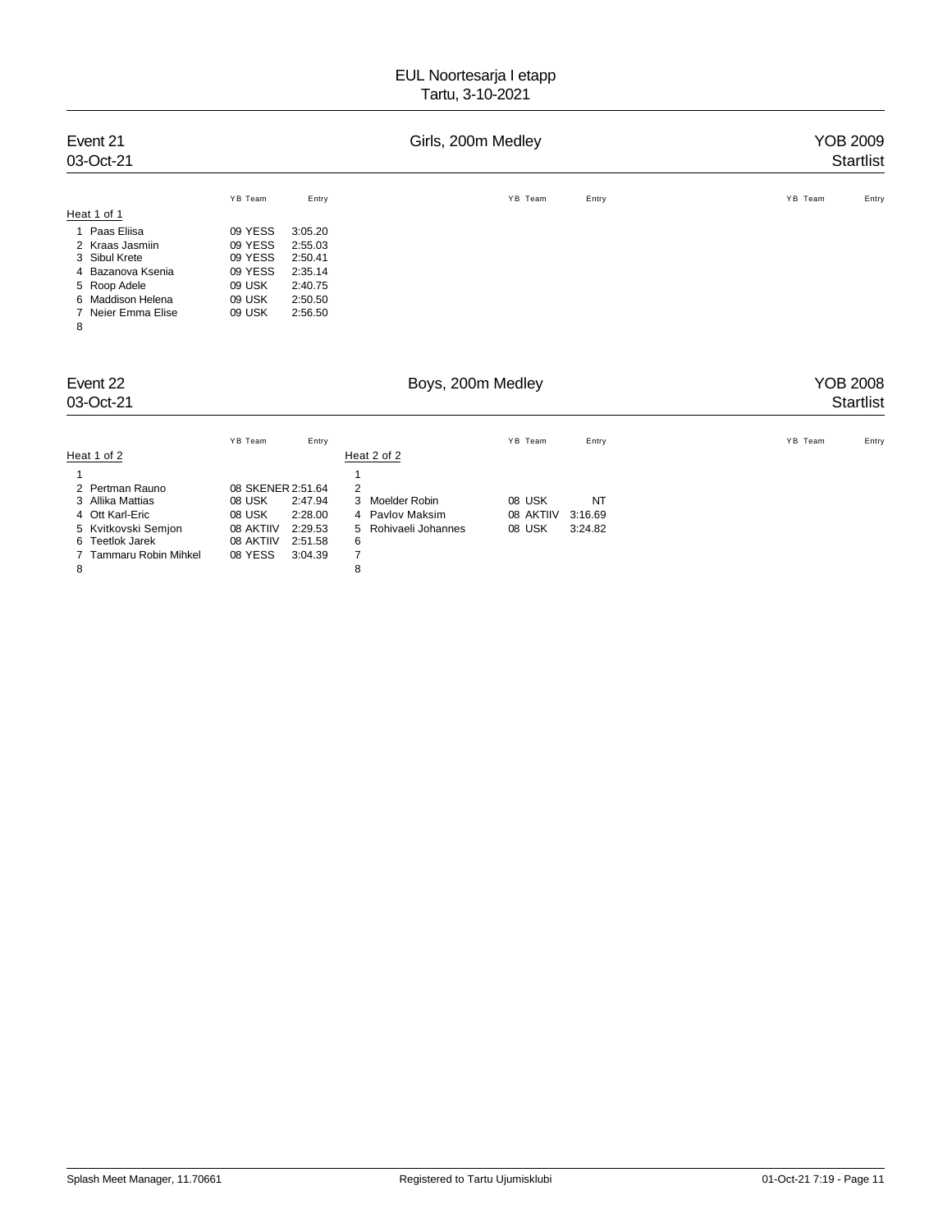| Event 21<br>03-Oct-21                                                                                                                           |                                                                        |                                                                           | Girls, 200m Medley                                                    | YOB 2009<br>Startlist |               |                                     |
|-------------------------------------------------------------------------------------------------------------------------------------------------|------------------------------------------------------------------------|---------------------------------------------------------------------------|-----------------------------------------------------------------------|-----------------------|---------------|-------------------------------------|
| Heat 1 of 1                                                                                                                                     | YB Team                                                                | Entry                                                                     |                                                                       | YB Team               | Entry         | YB Team<br>Entry                    |
| Paas Eliisa<br>1<br>2 Kraas Jasmiin<br>3 Sibul Krete<br>Bazanova Ksenia<br>4<br>5 Roop Adele<br>6 Maddison Helena<br>Neier Emma Elise<br>7<br>8 | 09 YESS<br>09 YESS<br>09 YESS<br>09 YESS<br>09 USK<br>09 USK<br>09 USK | 3:05.20<br>2:55.03<br>2:50.41<br>2:35.14<br>2:40.75<br>2:50.50<br>2:56.50 |                                                                       |                       |               |                                     |
| Event 22<br>03-Oct-21                                                                                                                           |                                                                        |                                                                           |                                                                       | Boys, 200m Medley     |               | <b>YOB 2008</b><br><b>Startlist</b> |
|                                                                                                                                                 | YB Team                                                                | Entry                                                                     |                                                                       | YB Team               | Entry         | YB Team<br>Entry                    |
| Heat 1 of 2<br>2 Pertman Rauno<br>Allika Mattias<br>3<br>4 Ott Karl-Eric                                                                        | 08 SKENER 2:51.64<br>08 USK<br>08 USK                                  | 2:47.94<br>2:28.00                                                        | Heat 2 of 2<br>1<br>2<br>3<br><b>Moelder Robin</b><br>4 Pavlov Maksim | 08 USK<br>08 AKTIIV   | NT<br>3:16.69 |                                     |

4 Ott Karl-Eric 08 USK 2:28.00 4 Pavlov Maksim 08 AKTIIV 3:16.69 5 Kvitkovski Semjon 08 AKTIIV 2:29.53 5 Rohivaeli Johannes 08 USK 3:24.82 08 AKTIIV 2:51.58 6<br>08 YESS 3:04.39 7

7 Tammaru Robin Mihkel 08 YESS 3:04.39 7 8 8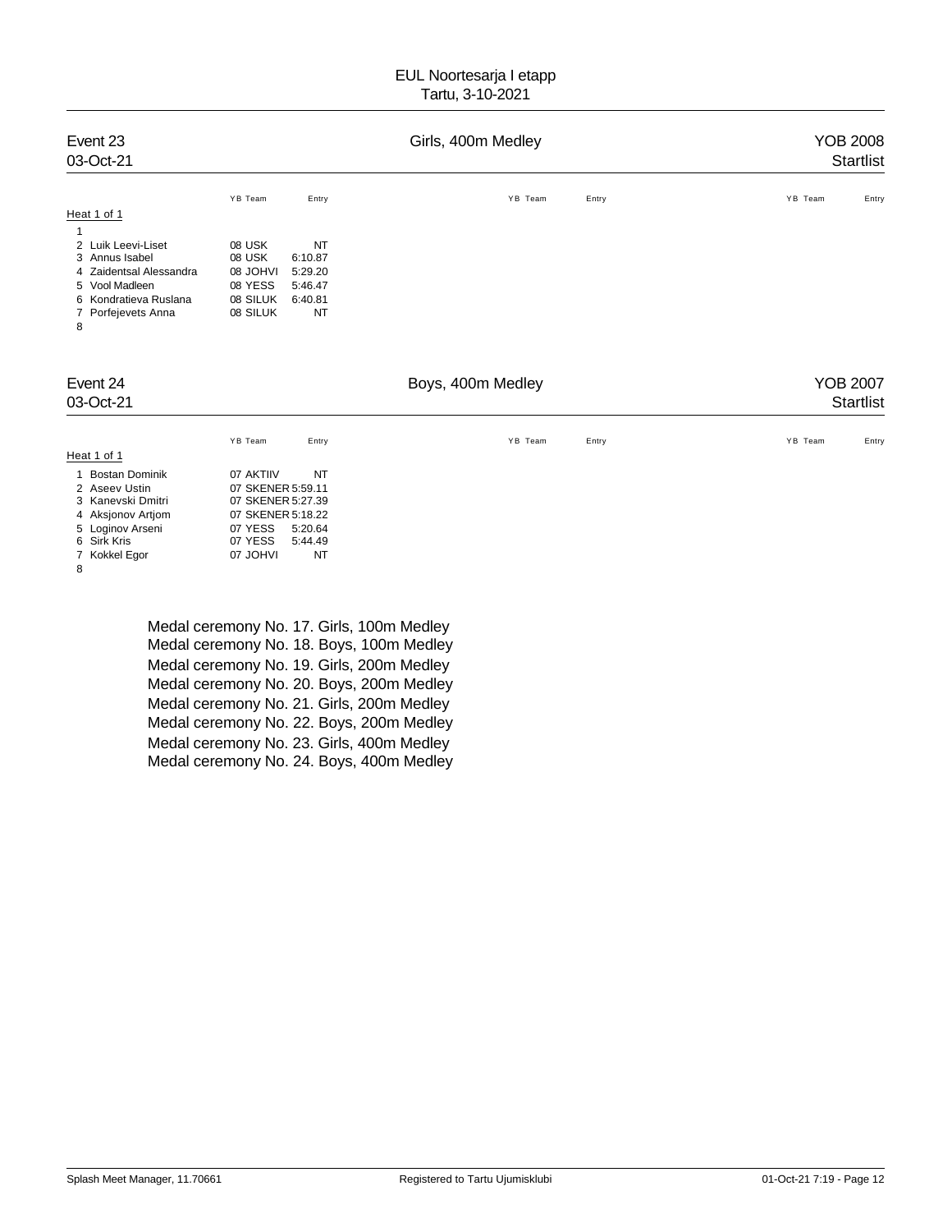| Event 23<br>03-Oct-21                                                                                                                           |                                                                                                                                              | Girls, 400m Medley |       | <b>YOB 2008</b><br><b>Startlist</b> |
|-------------------------------------------------------------------------------------------------------------------------------------------------|----------------------------------------------------------------------------------------------------------------------------------------------|--------------------|-------|-------------------------------------|
| Heat 1 of 1                                                                                                                                     | YB Team<br>Entry                                                                                                                             | YB Team            | Entry | YB Team<br>Entry                    |
| Luik Leevi-Liset<br>2<br>3 Annus Isabel<br>Zaidentsal Alessandra<br>4<br>5 Vool Madleen<br>6 Kondratieva Ruslana<br>Porfejevets Anna<br>7<br>8  | 08 USK<br>NT<br>08 USK<br>6:10.87<br><b>IVHOL 80</b><br>5:29.20<br>08 YESS<br>5:46.47<br>08 SILUK<br>6:40.81<br>08 SILUK<br>NT               |                    |       |                                     |
| Event 24<br>03-Oct-21                                                                                                                           |                                                                                                                                              | Boys, 400m Medley  |       | <b>YOB 2007</b><br><b>Startlist</b> |
| Heat 1 of 1                                                                                                                                     | YB Team<br>Entry                                                                                                                             | YB Team            | Entry | YB Team<br>Entry                    |
| <b>Bostan Dominik</b><br>1<br>2 Aseev Ustin<br>3 Kanevski Dmitri<br>Aksjonov Artjom<br>4<br>5 Loginov Arseni<br>Sirk Kris<br>6<br>7 Kokkel Egor | 07 AKTIIV<br>NT<br>07 SKENER 5:59.11<br>07 SKENER 5:27.39<br>07 SKENER 5:18.22<br>07 YESS<br>5:20.64<br>07 YESS<br>5:44.49<br>07 JOHVI<br>NT |                    |       |                                     |

8

Medal ceremony No. 17. Girls, 100m Medley Medal ceremony No. 18. Boys, 100m Medley Medal ceremony No. 19. Girls, 200m Medley Medal ceremony No. 20. Boys, 200m Medley Medal ceremony No. 21. Girls, 200m Medley Medal ceremony No. 22. Boys, 200m Medley Medal ceremony No. 23. Girls, 400m Medley Medal ceremony No. 24. Boys, 400m Medley